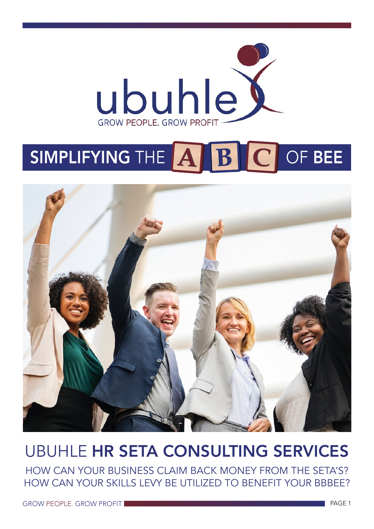

# SIMPLIFYING THE **EST BEE**



# UBUHLE HR SETA CONSULTING SERVICES

HOW CAN YOUR BUSINESS CLAIM BACK MONEY FROM THE SETA'S? HOW CAN YOUR SKILLS LEVY BE UTILIZED TO BENEFIT YOUR BBBEE?

GROW PEOPLE. GROW PROFIT **The absolute of the contract of the contract of the contract of the contract of the contract of the contract of the contract of the contract of the contract of the contract of the contract of the**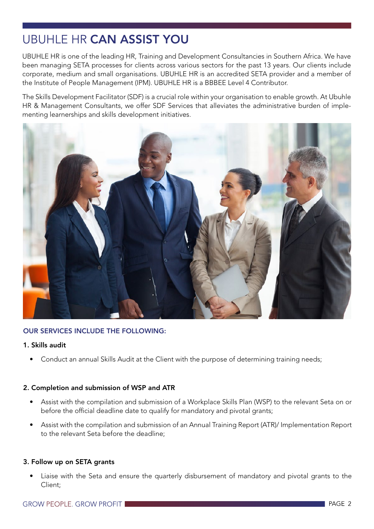# UBUHLE HR CAN ASSIST YOU

UBUHLE HR is one of the leading HR, Training and Development Consultancies in Southern Africa. We have been managing SETA processes for clients across various sectors for the past 13 years. Our clients include corporate, medium and small organisations. UBUHLE HR is an accredited SETA provider and a member of the Institute of People Management (IPM). UBUHLE HR is a BBBEE Level 4 Contributor.

The Skills Development Facilitator (SDF) is a crucial role within your organisation to enable growth. At Ubuhle HR & Management Consultants, we offer SDF Services that alleviates the administrative burden of implementing learnerships and skills development initiatives.



#### OUR SERVICES INCLUDE THE FOLLOWING:

#### 1. Skills audit

• Conduct an annual Skills Audit at the Client with the purpose of determining training needs;

#### 2. Completion and submission of WSP and ATR

- Assist with the compilation and submission of a Workplace Skills Plan (WSP) to the relevant Seta on or before the official deadline date to qualify for mandatory and pivotal grants;
- Assist with the compilation and submission of an Annual Training Report (ATR)/ Implementation Report to the relevant Seta before the deadline;

#### 3. Follow up on SETA grants

• Liaise with the Seta and ensure the quarterly disbursement of mandatory and pivotal grants to the Client;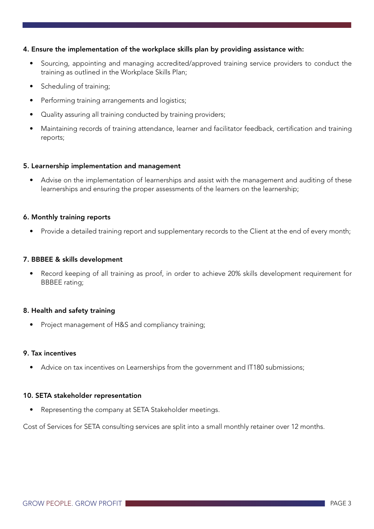#### 4. Ensure the implementation of the workplace skills plan by providing assistance with:

- Sourcing, appointing and managing accredited/approved training service providers to conduct the training as outlined in the Workplace Skills Plan;
- Scheduling of training:
- Performing training arrangements and logistics;
- Quality assuring all training conducted by training providers;
- Maintaining records of training attendance, learner and facilitator feedback, certification and training reports;

#### 5. Learnership implementation and management

• Advise on the implementation of learnerships and assist with the management and auditing of these learnerships and ensuring the proper assessments of the learners on the learnership;

#### 6. Monthly training reports

• Provide a detailed training report and supplementary records to the Client at the end of every month;

#### 7. BBBEE & skills development

Record keeping of all training as proof, in order to achieve 20% skills development requirement for BBBEE rating;

#### 8. Health and safety training

• Project management of H&S and compliancy training;

#### 9. Tax incentives

• Advice on tax incentives on Learnerships from the government and IT180 submissions;

#### 10. SETA stakeholder representation

• Representing the company at SETA Stakeholder meetings.

Cost of Services for SETA consulting services are split into a small monthly retainer over 12 months.